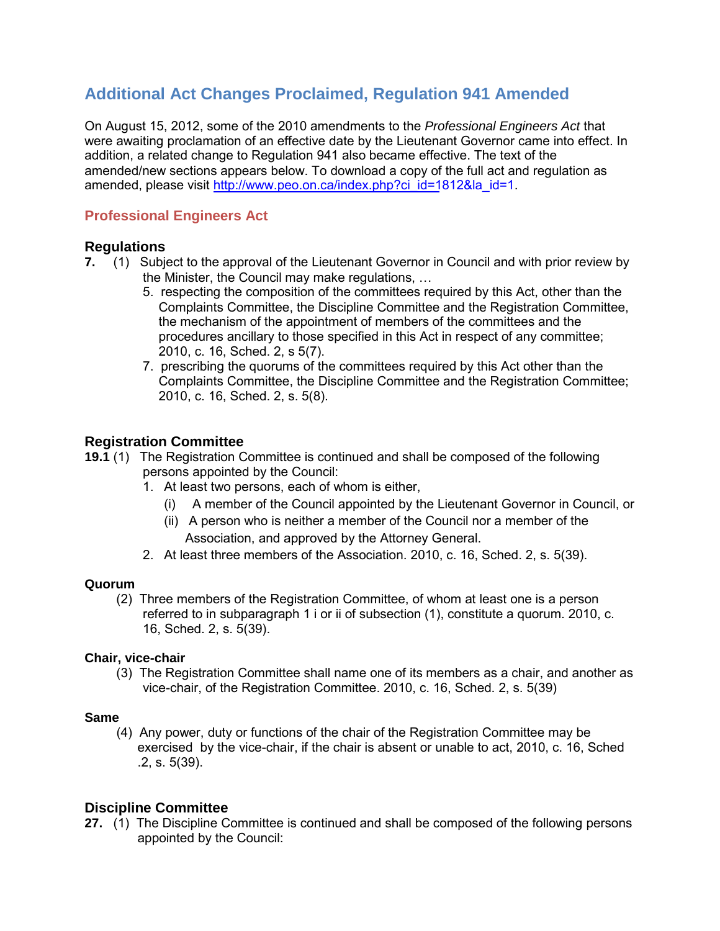# **Additional Act Changes Proclaimed, Regulation 941 Amended**

On August 15, 2012, some of the 2010 amendments to the *Professional Engineers Act* that were awaiting proclamation of an effective date by the Lieutenant Governor came into effect. In addition, a related change to Regulation 941 also became effective. The text of the amended/new sections appears below. To download a copy of the full act and regulation as amended, please visit [http://www.peo.on.ca/index.php?ci\\_id=1](http://www.peo.on.ca/index.php?ci_id=1812&la_id=1)812&la\_id=1.

# **Professional Engineers Act**

## **Regulations**

- **7.** (1) Subject to the approval of the Lieutenant Governor in Council and with prior review by the Minister, the Council may make regulations, …
	- 5. respecting the composition of the committees required by this Act, other than the Complaints Committee, the Discipline Committee and the Registration Committee, the mechanism of the appointment of members of the committees and the procedures ancillary to those specified in this Act in respect of any committee; 2010, c. 16, Sched. 2, s 5(7).
	- 7. prescribing the quorums of the committees required by this Act other than the Complaints Committee, the Discipline Committee and the Registration Committee; 2010, c. 16, Sched. 2, s. 5(8).

## **Registration Committee**

- **19.1** (1) The Registration Committee is continued and shall be composed of the following persons appointed by the Council:
	- 1. At least two persons, each of whom is either,
		- (i) A member of the Council appointed by the Lieutenant Governor in Council, or
		- (ii) A person who is neither a member of the Council nor a member of the Association, and approved by the Attorney General.
	- 2. At least three members of the Association. 2010, c. 16, Sched. 2, s. 5(39).

#### **Quorum**

(2) Three members of the Registration Committee, of whom at least one is a person referred to in subparagraph 1 i or ii of subsection (1), constitute a quorum. 2010, c. 16, Sched. 2, s. 5(39).

## **Chair, vice-chair**

(3) The Registration Committee shall name one of its members as a chair, and another as vice-chair, of the Registration Committee. 2010, c. 16, Sched. 2, s. 5(39)

## **Same**

(4) Any power, duty or functions of the chair of the Registration Committee may be exercised by the vice-chair, if the chair is absent or unable to act, 2010, c. 16, Sched .2, s. 5(39).

## **Discipline Committee**

**27.** (1) The Discipline Committee is continued and shall be composed of the following persons appointed by the Council: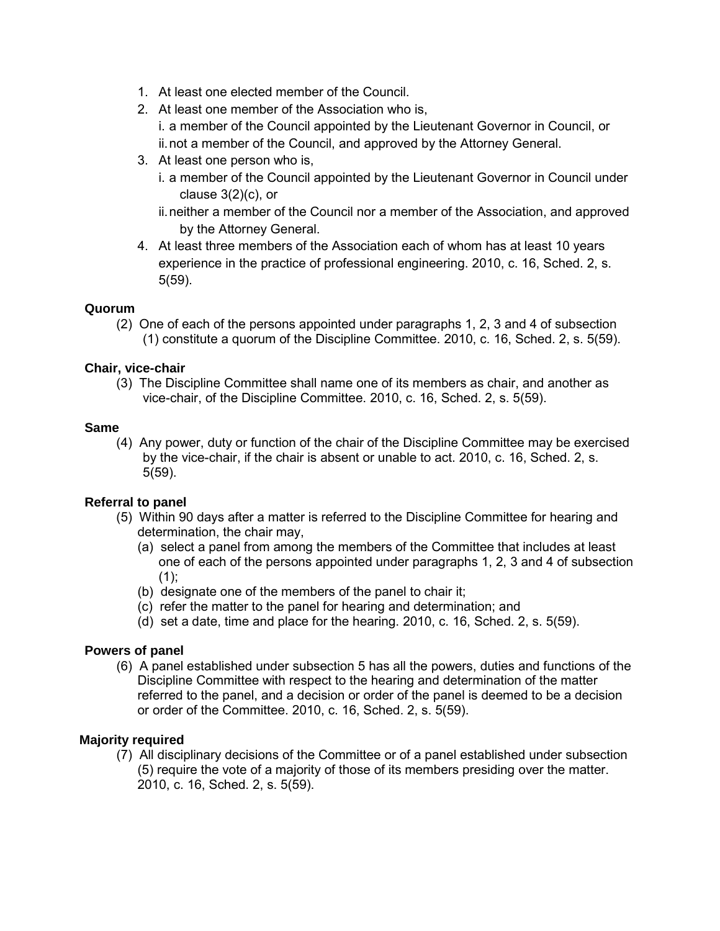- 1. At least one elected member of the Council.
- 2. At least one member of the Association who is, i. a member of the Council appointed by the Lieutenant Governor in Council, or ii.not a member of the Council, and approved by the Attorney General.
- 3. At least one person who is,
	- i. a member of the Council appointed by the Lieutenant Governor in Council under clause 3(2)(c), or
	- ii.neither a member of the Council nor a member of the Association, and approved by the Attorney General.
- 4. At least three members of the Association each of whom has at least 10 years experience in the practice of professional engineering. 2010, c. 16, Sched. 2, s. 5(59).

## **Quorum**

(2) One of each of the persons appointed under paragraphs 1, 2, 3 and 4 of subsection (1) constitute a quorum of the Discipline Committee. 2010, c. 16, Sched. 2, s. 5(59).

## **Chair, vice-chair**

(3) The Discipline Committee shall name one of its members as chair, and another as vice-chair, of the Discipline Committee. 2010, c. 16, Sched. 2, s. 5(59).

#### **Same**

(4) Any power, duty or function of the chair of the Discipline Committee may be exercised by the vice-chair, if the chair is absent or unable to act. 2010, c. 16, Sched. 2, s. 5(59).

## **Referral to panel**

- (5) Within 90 days after a matter is referred to the Discipline Committee for hearing and determination, the chair may,
	- (a) select a panel from among the members of the Committee that includes at least one of each of the persons appointed under paragraphs 1, 2, 3 and 4 of subsection  $(1);$
	- (b) designate one of the members of the panel to chair it;
	- (c) refer the matter to the panel for hearing and determination; and
	- (d) set a date, time and place for the hearing. 2010, c. 16, Sched. 2, s. 5(59).

## **Powers of panel**

(6) A panel established under subsection 5 has all the powers, duties and functions of the Discipline Committee with respect to the hearing and determination of the matter referred to the panel, and a decision or order of the panel is deemed to be a decision or order of the Committee. 2010, c. 16, Sched. 2, s. 5(59).

#### **Majority required**

(7) All disciplinary decisions of the Committee or of a panel established under subsection (5) require the vote of a majority of those of its members presiding over the matter. 2010, c. 16, Sched. 2, s. 5(59).